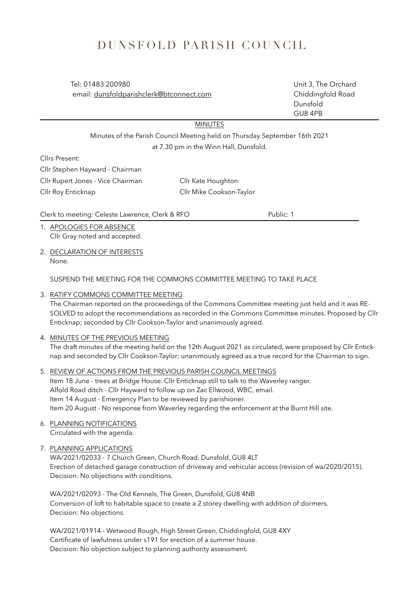# DUNSFOLD PARISH COUNCIL

 Tel: 01483 200980 Unit 3, The Orchard email: [dunsfoldparishclerk@btconnect.com](mailto:dunsfoldparishclerk@btconnect.com) Chiddingfold Road

 Dunsfold GU8 4PB

MINUTES

Minutes of the Parish Council Meeting held on Thursday September 16th 2021 at 7.30 pm in the Winn Hall, Dunsfold.

Cllrs Present:

Cllr Stephen Hayward - Chairman

Cllr Rupert Jones - Vice Chairman Cllr Kate Houghton

Cllr Roy Enticknap Cllr Mike Cookson-Taylor

Clerk to meeting: Celeste Lawrence, Clerk & RFO Public: 1

1. APOLOGIES FOR ABSENCE Cllr Gray noted and accepted.

2. DECLARATION OF INTERESTS None.

SUSPEND THE MEETING FOR THE COMMONS COMMITTEE MEETING TO TAKE PLACE

3. RATIFY COMMONS COMMITTEE MEETING

The Chairman reported on the proceedings of the Commons Committee meeting just held and it was RE-SOLVED to adopt the recommendations as recorded in the Commons Committee minutes. Proposed by Cllr Enticknap; seconded by Cllr Cookson-Taylor and unanimously agreed.

# 4. MINUTES OF THE PREVIOUS MEETING

The draft minutes of the meeting held on the 12th August 2021 as circulated, were proposed by Cllr Enticknap and seconded by Cllr Cookson-Taylor; unanimously agreed as a true record for the Chairman to sign.

5. REVIEW OF ACTIONS FROM THE PREVIOUS PARISH COUNCIL MEETINGS Item 18 June - trees at Bridge House. Cllr Enticknap still to talk to the Waverley ranger. Alfold Road ditch - Cllr Hayward to follow up on Zac Ellwood, WBC, email. Item 14 August - Emergency Plan to be reviewed by parishioner. Item 20 August - No response from Waverley regarding the enforcement at the Burnt Hill site.

- 6. PLANNING NOTIFICATIONS Circulated with the agenda.
- 7. PLANNING APPLICATIONS

WA/2021/02033 - 7 Church Green, Church Road, Dunsfold, GU8 4LT Erection of detached garage construction of driveway and vehicular access (revision of wa/2020/2015). Decision: No objections with conditions.

WA/2021/02093 - The Old Kennels, The Green, Dunsfold, GU8 4NB Conversion of loft to habitable space to create a 2 storey dwelling with addition of dormers. Decision: No objections.

WA/2021/01914 - Wetwood Rough, High Street Green, Chiddingfold, GU8 4XY Certificate of lawfulness under s191 for erection of a summer house. Decision: No objection subject to planning authority assessment.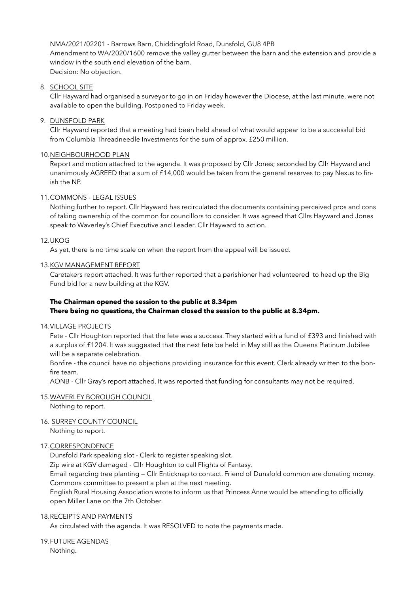NMA/2021/02201 - Barrows Barn, Chiddingfold Road, Dunsfold, GU8 4PB Amendment to WA/2020/1600 remove the valley gutter between the barn and the extension and provide a window in the south end elevation of the barn. Decision: No objection.

## 8. SCHOOL SITE

Cllr Hayward had organised a surveyor to go in on Friday however the Diocese, at the last minute, were not available to open the building. Postponed to Friday week.

## 9. DUNSFOLD PARK

Cllr Hayward reported that a meeting had been held ahead of what would appear to be a successful bid from Columbia Threadneedle Investments for the sum of approx. £250 million.

## 10.NEIGHBOURHOOD PLAN

Report and motion attached to the agenda. It was proposed by Cllr Jones; seconded by Cllr Hayward and unanimously AGREED that a sum of £14,000 would be taken from the general reserves to pay Nexus to finish the NP.

## 11.COMMONS - LEGAL ISSUES

Nothing further to report. Cllr Hayward has recirculated the documents containing perceived pros and cons of taking ownership of the common for councillors to consider. It was agreed that Cllrs Hayward and Jones speak to Waverley's Chief Executive and Leader. Cllr Hayward to action.

## 12.UKOG

As yet, there is no time scale on when the report from the appeal will be issued.

## 13.KGV MANAGEMENT REPORT

Caretakers report attached. It was further reported that a parishioner had volunteered to head up the Big Fund bid for a new building at the KGV.

# **The Chairman opened the session to the public at 8.34pm There being no questions, the Chairman closed the session to the public at 8.34pm.**

## 14.VILLAGE PROJECTS

Fete - Cllr Houghton reported that the fete was a success. They started with a fund of £393 and finished with a surplus of £1204. It was suggested that the next fete be held in May still as the Queens Platinum Jubilee will be a separate celebration.

Bonfire - the council have no objections providing insurance for this event. Clerk already written to the bonfire team.

AONB - Cllr Gray's report attached. It was reported that funding for consultants may not be required.

## 15.WAVERLEY BOROUGH COUNCIL

Nothing to report.

## 16. SURREY COUNTY COUNCIL

Nothing to report.

## 17.CORRESPONDENCE

Dunsfold Park speaking slot - Clerk to register speaking slot.

Zip wire at KGV damaged - Cllr Houghton to call Flights of Fantasy.

Email regarding tree planting — Cllr Enticknap to contact. Friend of Dunsfold common are donating money. Commons committee to present a plan at the next meeting.

English Rural Housing Association wrote to inform us that Princess Anne would be attending to officially open Miller Lane on the 7th October.

## 18.RECEIPTS AND PAYMENTS

As circulated with the agenda. It was RESOLVED to note the payments made.

19.FUTURE AGENDAS

Nothing.